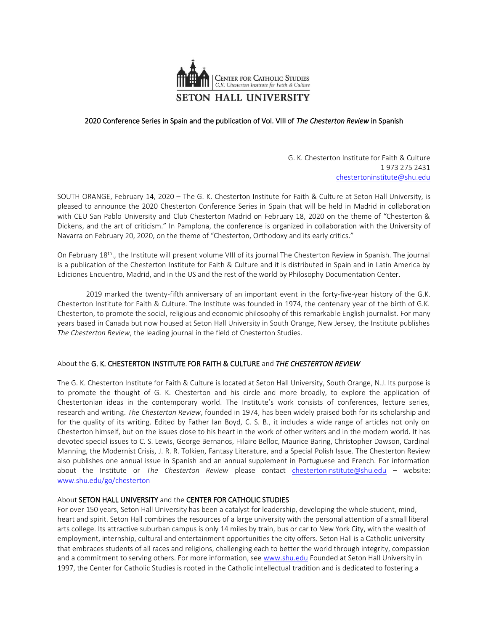

## 2020 Conference Series in Spain and the publication of Vol. VIII of *The Chesterton Review* in Spanish

G. K. Chesterton Institute for Faith & Culture 1 973 275 2431 [chestertoninstitute@shu.edu](mailto:chestertoninstitute@shu.edu)

SOUTH ORANGE, February 14, 2020 – The G. K. Chesterton Institute for Faith & Culture at Seton Hall University, is pleased to announce the 2020 Chesterton Conference Series in Spain that will be held in Madrid in collaboration with CEU San Pablo University and Club Chesterton Madrid on February 18, 2020 on the theme of "Chesterton & Dickens, and the art of criticism." In Pamplona, the conference is organized in collaboration with the University of Navarra on February 20, 2020, on the theme of "Chesterton, Orthodoxy and its early critics."

On February 18th., the Institute will present volume VIII of its journal The Chesterton Review in Spanish. The journal is a publication of the Chesterton Institute for Faith & Culture and it is distributed in Spain and in Latin America by Ediciones Encuentro, Madrid, and in the US and the rest of the world by Philosophy Documentation Center.

2019 marked the twenty-fifth anniversary of an important event in the forty-five-year history of the G.K. Chesterton Institute for Faith & Culture. The Institute was founded in 1974, the centenary year of the birth of G.K. Chesterton, to promote the social, religious and economic philosophy of this remarkable English journalist. For many years based in Canada but now housed at Seton Hall University in South Orange, New Jersey, the Institute publishes *The Chesterton Review*, the leading journal in the field of Chesterton Studies.

## About the G. K. CHESTERTON INSTITUTE FOR FAITH & CULTURE and *THE CHESTERTON REVIEW*

The G. K. Chesterton Institute for Faith & Culture is located at Seton Hall University, South Orange, N.J. Its purpose is to promote the thought of G. K. Chesterton and his circle and more broadly, to explore the application of Chestertonian ideas in the contemporary world. The Institute's work consists of conferences, lecture series, research and writing. *The Chesterton Review*, founded in 1974, has been widely praised both for its scholarship and for the quality of its writing. Edited by Father Ian Boyd, C. S. B., it includes a wide range of articles not only on Chesterton himself, but on the issues close to his heart in the work of other writers and in the modern world. It has devoted special issues to C. S. Lewis, George Bernanos, Hilaire Belloc, Maurice Baring, Christopher Dawson, Cardinal Manning, the Modernist Crisis, J. R. R. Tolkien, Fantasy Literature, and a Special Polish Issue. The Chesterton Review also publishes one annual issue in Spanish and an annual supplement in Portuguese and French. For information about the Institute or *The Chesterton Review* please contact [chestertoninstitute@shu.edu](mailto:chestertoninstitute@shu.edu) – website: [www.shu.edu/go/chesterton](http://www.shu.edu/go/chesterton)

## About SETON HALL UNIVERSITY and the CENTER FOR CATHOLIC STUDIES

For over 150 years, Seton Hall University has been a catalyst for leadership, developing the whole student, mind, heart and spirit. Seton Hall combines the resources of a large university with the personal attention of a small liberal arts college. Its attractive suburban campus is only 14 miles by train, bus or car to New York City, with the wealth of employment, internship, cultural and entertainment opportunities the city offers. Seton Hall is a Catholic university that embraces students of all races and religions, challenging each to better the world through integrity, compassion and a commitment to serving others. For more information, se[e www.shu.edu](http://www.shu.edu/) Founded at Seton Hall University in 1997, the Center for Catholic Studies is rooted in the Catholic intellectual tradition and is dedicated to fostering a